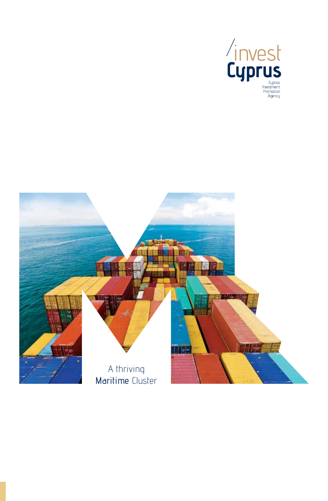

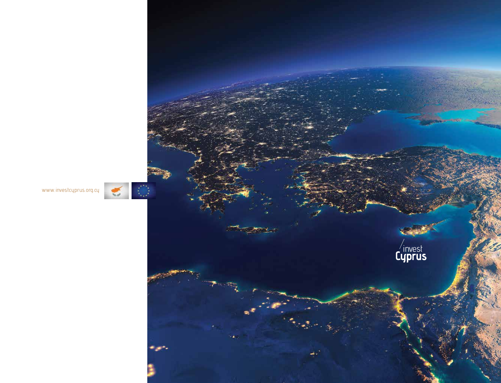

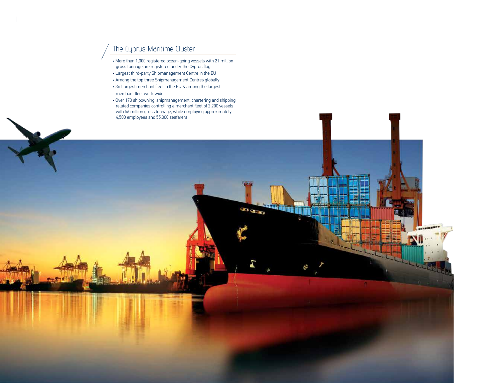# The Cyprus Maritime Cluster

1

- More than 1,000 registered ocean-going vessels with 21 million gross tonnage are registered under the Cyprus flag
- Largest third-party Shipmanagement Centre in the EU
- Among the top three Shipmanagement Centres globally
- 3rd largest merchant fleet in the EU & among the largest merchant fleet worldwide
- Over 170 shipowning, shipmanagement, chartering and shipping related companies controlling a merchant fleet of 2,200 vessels with 56 million gross tonnage, while employing approximately 4,500 employees and 55,000 seafarers

**Jumper** 

■ 東京大学 第17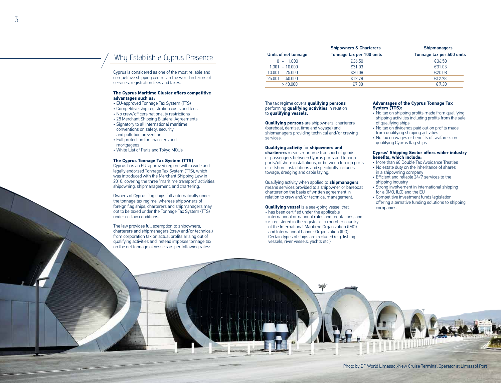## Why Establish a Cyprus Presence

Cyprus is considered as one of the most reliable and competitive shipping centres in the world in terms of services, registration fees and taxes.

#### **The Cyprus Maritime Cluster offers competitive advantages such as:**

- EU-approved Tonnage Tax System (TTS)
- • Competitive ship registration costs and fees
- • No crew/officers nationality restrictions
- 28 Merchant Shipping Bilateral Agreements
- Signatory to all international maritime conventions on safety, security and pollution prevention
- • Full protection for financiers and mortgagees
- White List of Paris and Tokyo MOUs

### **The Cyprus Tonnage Tax System (TTS)**

Cyprus has an EU-approved regime with a wide and legally endorsed Tonnage Tax System (TTS), which was introduced with the Merchant Shipping Law in 2010, covering the three "maritime transport" activities: shipowning, shipmanagement, and chartering.

Owners of Cyprus flag ships fall automatically under the tonnage tax regime, whereas shipowners of foreign flag ships, charterers and shipmanagers may opt to be taxed under the Tonnage Tax System (TTS) under certain conditions.

The law provides full exemption to shipowners, charterers and shipmanagers (crew and/or technical) from corporation tax on actual profits arising out of qualifying activities and instead imposes tonnage tax on the net tonnage of vessels as per following rates:

| Units of net tonnage | <b>Shipowners &amp; Charterers</b><br>Tonnage tax per 100 units | <b>Shipmanagers</b><br>Tonnage tax per 400 units |
|----------------------|-----------------------------------------------------------------|--------------------------------------------------|
|                      |                                                                 |                                                  |
| $1.001 - 10.000$     | €31.03                                                          | €31.03                                           |
| $10.001 - 25.000$    | €20.08                                                          | €20.08                                           |
| $25.001 - 40.000$    | €12.78                                                          | €12.78                                           |
| >40.000              | €7.30                                                           | €7.30                                            |

The tax regime covers **qualifying persons**  performing **qualifying activities** in relation to **qualifying vessels.**

**Qualifying persons** are shipowners, charterers (bareboat, demise, time and voyage) and shipmanagers providing technical and/or crewing services.

#### **Qualifying activity** for **shipowners and**

**charterers** means maritime transport of goods or passengers between Cyprus ports and foreign ports/offshore installations, or between foreign ports or offshore installations and specifically includes towage, dredging and cable laying.

Qualifying activity when applied to **shipmanagers**  means services provided to a shipowner or bareboat charterer on the basis of written agreement in relation to crew and/or technical management.

## **Qualifying vessel** is a sea-going vessel that:

- has been certified under the applicable international or national rules and regulations, and
- is registered in the register of a member country of the International Maritime Organization (IMO) and International Labour Organization (ILO) Certain types of ships are excluded (e.g. fishing vessels, river vessels, yachts etc.)

幂

### **Advantages of the Cyprus Tonnage Tax System (TTS):**

- No tax on shipping profits made from qualifying shipping activities including profits from the sale of qualifying ships
- • No tax on dividends paid out on profits made from qualifying shipping activities
- No tax on wages or benefits of seafarers on qualifying Cyprus flag ships

### **Cyprus' Shipping Sector offers wider industry benefits, which include:**

- More than 60 Double Tax Avoidance Treaties • No estate duty on the inheritance of shares
- in a shipowning company • Efficient and reliable 24/7 services to the
- shipping industry
- Strong involvement in international shipping for a (IMO, ILO) and the EU
- Competitive investment funds legislation offering alternative funding solutions to shipping companies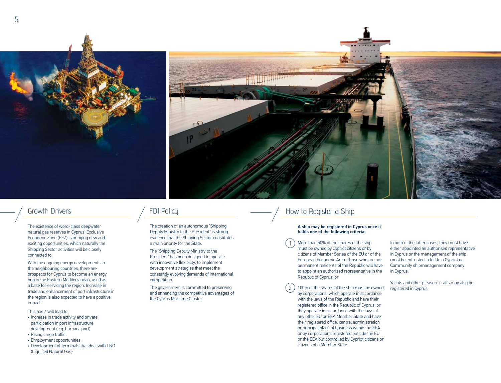



## Growth Drivers

The existence of word-class deepwater natural gas reserves in Cyprus' Exclusive Economic Zone (EEZ) is bringing new and exciting opportunities, which naturally the Shipping Sector activities will be closely connected to.

With the ongoing energy developments in the neighbouring countries, there are prospects for Cyprus to become an energy hub in the Eastern Mediterranean, used as a base for servicing the region. Increase in trade and enhancement of port infrastucture in the region is also expected to have a positive impact.

This has / will lead to:

- Increase in trade activity and private participation in port infrastructure development (e.g. Larnaca port)
- • Rising cargo traffic • Employment opportunities
- 
- Development of terminals that deal with LNG (Liquified Natural Gas)

## FDI Policy

The creation of an autonomous "Shipping Deputy Ministry to the President" is strong evidence that the Shipping Sector constitutes a main priority for the State.

The "Shipping Deputy Ministry to the President" has been designed to operate with innovative flexibility, to implement development strategies that meet the constantly evolving demands of international competition.

The government is committed to preserving and enhancing the competitive advantages of the Cyprus Maritime Cluster.

## How to Register a Ship

## A ship may be registered in Cyprus once it fulfils one of the following criteria:

More than 50% of the shares of the ship must be owned by Cypriot citizens or by citizens of Member States of the EU or of the European Economic Area. Those who are not permanent residents of the Republic will have to appoint an authorised representative in the Republic of Cyprus, or

100% of the shares of the ship must be owned by corporations, which operate in accordance with the laws of the Republic and have their registered office in the Republic of Cyprus, or they operate in accordance with the laws of any other EU or EEA Member State and have their registered office, central administration or principal place of business within the EEA or by corporations registered outside the EU or the EEA but controlled by Cypriot citizens or citizens of a Member State.

In both of the latter cases, they must have either appointed an authorised representative in Cyprus or the management of the ship must be entrusted in full to a Cypriot or Community shipmanagement company in Cyprus.

Yachts and other pleasure crafts may also be registered in Cyprus.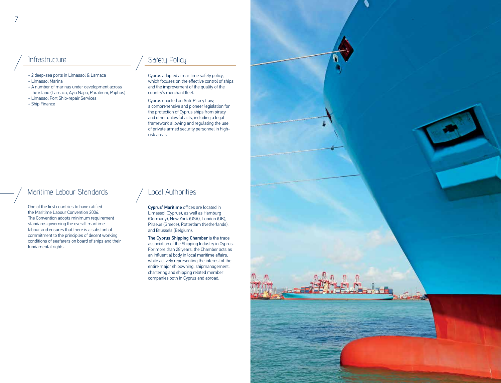- • 2 deep-sea ports in Limassol & Larnaca
- Limassol Marina
- A number of marinas under development across the island (Larnaca, Ayia Napa, Paralimni, Paphos)
- • Limassol Port Ship-repair Services
- Ship Finance

# Infrastructure Andrew Safety Policy

Cyprus adopted a maritime safety policy, which focuses on the effective control of ships and the improvement of the quality of the country's merchant fleet.

Cyprus enacted an Anti-Piracy Law; a comprehensive and pioneer legislation for the protection of Cyprus ships from piracy and other unlawful acts, including a legal framework allowing and regulating the use of private armed security personnel in highrisk areas.

## Maritime Labour Standards Authorities

One of the first countries to have ratified the Maritime Labour Convention 2006. The Convention adopts minimum requirement standards governing the overall maritime labour and ensures that there is a substantial commitment to the principles of decent working conditions of seafarers on board of ships and their fundamental rights.

Cyprus' Maritime offices are located in Limassol (Cyprus), as well as Hamburg (Germany), New York (USA), London (UK), Piraeus (Greece), Rotterdam (Netherlands), and Brussels (Belgium).

The Cyprus Shipping Chamber is the trade association of the Shipping Industry in Cyprus. For more than 28 years, the Chamber acts as an influential body in local maritime affairs, while actively representing the interest of the entire major shipowning, shipmanagement, chartering and shipping related member companies both in Cyprus and abroad.

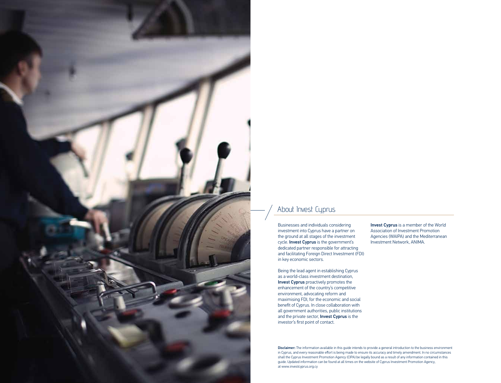

# About Invest Cyprus

Businesses and individuals considering investment into Cyprus have a partner on the ground at all stages of the investment cycle. Invest Cyprus is the government's dedicated partner responsible for attracting and facilitating Foreign Direct Investment (FDI) in key economic sectors.

Being the lead agent in establishing Cyprus as a world-class investment destination, Invest Cyprus proactively promotes the enhancement of the country's competitive environment, advocating reform and maximising FDI, for the economic and social benefit of Cyprus. In close collaboration with all government authorities, public institutions and the private sector, **Invest Cyprus** is the investor's first point of contact.

Invest Cyprus is a member of the World Association of Investment Promotion Agencies (WAIPA) and the Mediterranean Investment Network, ANIMA.

Disclaimer: The information available in this guide intends to provide a general introduction to the business environment in Cyprus, and every reasonable effort is being made to ensure its accuracy and timely amendment. In no circumstances shall the Cyprus Investment Promotion Agency (CIPA) be legally bound as a result of any information contained in this guide. Updated information can be found at all times on the website of Cyprus Investment Promotion Agency, at www.investcyprus.org.cy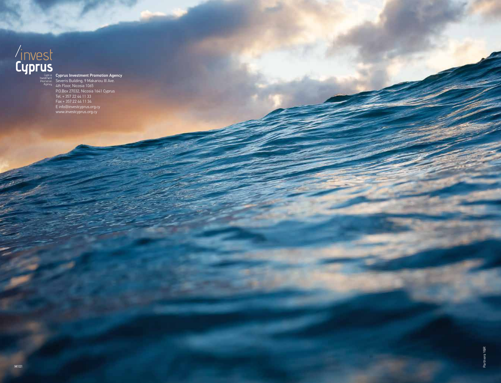Cyprus Investment Promotion Agency Severis Building, 9 Makariou III Ave. 4th Floor, Nicosia 1065 P.O.Box 27032, Nicosia 1641 Cyprus Tel. + 357 22 44 11 33 Fax + 357 22 44 11 34 E info@investcyprus.org.cy www.investcyprus.org.cy